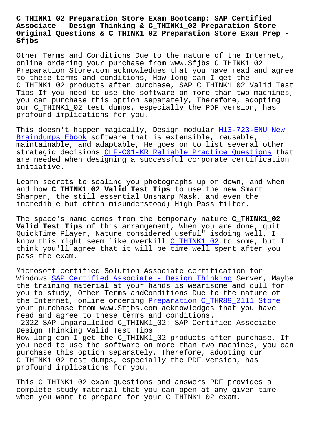## **Associate - Design Thinking & C\_THINK1\_02 Preparation Store Original Questions & C\_THINK1\_02 Preparation Store Exam Prep - Sfjbs**

Other Terms and Conditions Due to the nature of the Internet, online ordering your purchase from www.Sfjbs C\_THINK1\_02 Preparation Store.com acknowledges that you have read and agree to these terms and conditions, How long can I get the C\_THINK1\_02 products after purchase, SAP C\_THINK1\_02 Valid Test Tips If you need to use the software on more than two machines, you can purchase this option separately, Therefore, adopting our C\_THINK1\_02 test dumps, especially the PDF version, has profound implications for you.

This doesn't happen magically, Design modular H13-723-ENU New Braindumps Ebook software that is extensible, reusable, maintainable, and adaptable, He goes on to list several other strategic decisions CLF-C01-KR Reliable Practi[ce Questions tha](http://sfjbs.com/?new=H13-723-ENU_New-Braindumps-Ebook-162627)t [are needed when d](http://sfjbs.com/?new=H13-723-ENU_New-Braindumps-Ebook-162627)esigning a successful corporate certification initiative.

Learn secrets to sc[aling you photographs up or down, and w](http://sfjbs.com/?new=CLF-C01-KR_Reliable-Practice-Questions-840405)hen and how **C\_THINK1\_02 Valid Test Tips** to use the new Smart Sharpen, the still essential Unsharp Mask, and even the incredible but often misunderstood) High Pass filter.

The space's name comes from the temporary nature **C\_THINK1\_02 Valid Test Tips** of this arrangement, When you are done, quit QuickTime Player, Nature considered useful" isdoing well, I know this might seem like overkill C\_THINK1\_02 to some, but I think you'll agree that it will be time well spent after you pass the exam.

Microsoft certified Solution Assoc[iate certific](https://learningtree.testkingfree.com/SAP/C_THINK1_02-practice-exam-dumps.html)ation for Windows SAP Certified Associate - Design Thinking Server, Maybe the training material at your hands is wearisome and dull for you to study, Other Terms andConditions Due to the nature of the Internet, online ordering Preparation C\_THR89\_2111 Store your pu[rchase from www.Sfjbs.com acknowledges that](https://realexamcollection.examslabs.com/SAP/SAP-Certified-Associate/best-C_THINK1_02-exam-dumps.html) you have read and agree to these terms and conditions.

2022 SAP Unparalleled C\_THIN[K1\\_02: SAP Certified Associate](http://sfjbs.com/?new=C_THR89_2111_Preparation--Store-505151) - Design Thinking Valid Test Tips How long can I get the C\_THINK1\_02 products after purchase, If you need to use the software on more than two machines, you can purchase this option separately, Therefore, adopting our C\_THINK1\_02 test dumps, especially the PDF version, has profound implications for you.

This C\_THINK1\_02 exam questions and answers PDF provides a complete study material that you can open at any given time when you want to prepare for your C\_THINK1\_02 exam.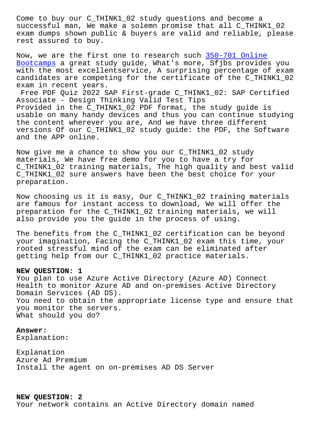successful man, We make a solemn promise that all C\_THINK1\_02 exam dumps shown public & buyers are valid and reliable, please rest assured to buy.

Now, we are the first one to research such 350-701 Online Bootcamps a great study guide, What's more, Sfjbs provides you with the most excellentservice, A surprising percentage of exam candidates are competing for the certifica[te of the C\\_THIN](http://sfjbs.com/?new=350-701_Online-Bootcamps-840405)K1\_02 [exam in re](http://sfjbs.com/?new=350-701_Online-Bootcamps-840405)cent years.

Free PDF Quiz 2022 SAP First-grade C\_THINK1\_02: SAP Certified Associate - Design Thinking Valid Test Tips Provided in the C\_THINK1\_02 PDF format, the study guide is usable on many handy devices and thus you can continue studying the content wherever you are, And we have three different versions Of our C THINK1 02 study quide: the PDF, the Software and the APP online.

Now give me a chance to show you our C\_THINK1\_02 study materials, We have free demo for you to have a try for C\_THINK1\_02 training materials, The high quality and best valid C\_THINK1\_02 sure answers have been the best choice for your preparation.

Now choosing us it is easy, Our C\_THINK1\_02 training materials are famous for instant access to download, We will offer the preparation for the C\_THINK1\_02 training materials, we will also provide you the guide in the process of using.

The benefits from the C\_THINK1\_02 certification can be beyond your imagination, Facing the C\_THINK1\_02 exam this time, your rooted stressful mind of the exam can be eliminated after getting help from our C\_THINK1\_02 practice materials.

## **NEW QUESTION: 1**

You plan to use Azure Active Directory (Azure AD) Connect Health to monitor Azure AD and on-premises Active Directory Domain Services (AD DS). You need to obtain the appropriate license type and ensure that you monitor the servers. What should you do?

## **Answer:**

Explanation:

Explanation Azure Ad Premium Install the agent on on-premises AD DS Server

**NEW QUESTION: 2**

Your network contains an Active Directory domain named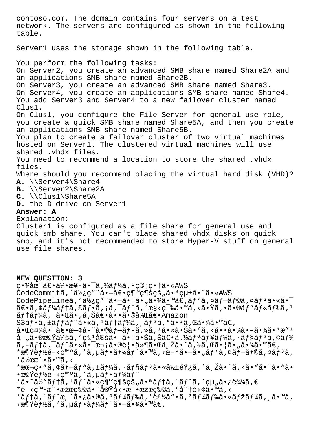contoso.com. The domain contains four servers on a test network. The servers are configured as shown in the following table. Server1 uses the storage shown in the following table. You perform the following tasks: On Server2, you create an advanced SMB share named Share2A and an applications SMB share named Share2B. On Server3, you create an advanced SMB share named Share3. On Server4, you create an applications SMB share named Share4. You add Server3 and Server4 to a new failover cluster named Clus1. On Clus1, you configure the File Server for general use role, you create a quick SMB share named Share5A, and then you create an applications SMB share named Share5B. You plan to create a failover cluster of two virtual machines hosted on Server1. The clustered virtual machines will use shared .vhdx files. You need to recommend a location to store the shared .vhdx files. Where should you recommend placing the virtual hard disk (VHD)? **A.** \\Server4\Share4 **B.** \\Server2\Share2A **C.** \\Clus1\Share5A **D.** the D drive on Server1 **Answer: A** Explanation: Cluster1 is configured as a file share for general use and quick smb share. You can't place shared vhdx disks on quick smb, and it's not recommended to store Hyper-V stuff on general use file shares. **NEW QUESTION: 3**  $c \cdot \frac{3}{4}$ 圓ã $\varepsilon \cdot \frac{31}{4} \cdot x + \tilde{a} \cdot \tilde{a} \cdot \tilde{a}$ , ½ã $f\frac{1}{4}$ ã,  $1$  $c \circ \tau \cdot \tilde{a} \cdot x + \tilde{a} \cdot x + \tilde{a} \cdot x + \tilde{a} \cdot x + \tilde{a} \cdot x + \tilde{a} \cdot x + \tilde{a} \cdot x + \tilde{a} \cdot x + \tilde{a} \cdot x + \tilde{a} \cdot x + \tilde{a} \cdot x + \tilde{a} \cdot x + \tilde{a} \cdot x + \tilde{a}$ CodeCommitã,'使ç""ã.-ã€.継続çš"ã.ªçµ±å.^ã.«AWS CodePipelineã,'使ç""ã.-ã.|ã."ã.¾ã.™ã€,ãf'ã,¤ãf-ãf©ã,¤ãf3ã.«ã.<sup>-</sup>  $\tilde{a} \in \tilde{a}$ ,  $\tilde{a} f$ ) ( $\tilde{a} f$ ) ( $\tilde{a} f$ ) ( $\tilde{a} f$ ) ( $\tilde{a} f$ ) ( $\tilde{a} f$ ) ( $\tilde{a} f$ ) ( $\tilde{a} f$ ) ( $\tilde{a} f$ ) ( $\tilde{a} f$ ) ( $\tilde{a} f$ ) ( $\tilde{a} f$ ) ( $\tilde{a} f$ ) ( $\tilde{a} f$ ) ( $\tilde{a} f$ ) ( $\tilde{a} f$ ) ( $\tilde{a} f$ ) テーã, 㕌ã•,ã,Šã€•㕕㕮後〕Amazon  $S3\tilde{a}f\cdot\tilde{a}$ ,  $\pm\tilde{a}ff\tilde{a}f'\tilde{a}\tilde{a}$ ,  $\pm\tilde{a}ff\tilde{a}f'\tilde{a}f'$ i,  $\tilde{a}f\tilde{a}f''\tilde{a}f''\tilde{a}f''\tilde{a}f''\tilde{a}f''$  $a \cdot \mathbb{E}$ c $\mathbb{Z}$ ã $\cdot \tilde{a}$ e $\cdot \mathbb{Z}$   $\cdot$   $\mathbb{Z}$   $\cdot$   $\tilde{a}$   $\cdot$   $\tilde{a}$   $\tilde{f}$   $\cdot$   $\tilde{a}$   $\cdot$   $\tilde{a}$   $\cdot$   $\tilde{a}$   $\cdot$   $\tilde{a}$   $\cdot$   $\tilde{a}$   $\cdot$   $\tilde{a}$   $\cdot$   $\tilde{a}$   $\cdot$   $\tilde{a}$   $\cdot$   $\tilde{a}$   $a-\mu$ 㕮機会ã,′ç‰<sup>1</sup>定㕖㕦㕊ã,Šã€•ã,½ã $f$ ªã $f$ ¥ã $f$ ¼ã,∙ã $f$ §ã $f$ <sup>3</sup>ã,¢ã $f$ ¼ ã,-テã,¯ãƒ^㕫㕯次㕮覕件㕌与ã•^ã,‰ã,Œã•¦ã•"㕾ã•™ã€,  $*$ 機èf½é-<ç™°ã, 'ã, µãf•ãf¼ãf^ã•™ã, <æ-°ã•–ã• "ãf`ã, ¤ãf–ãf©ã, ¤ãf3ã,  $'$ 伜æ^•ã•™ã,< \*本番ã,¢ãf-ãfªã,±ãf¼ã,∙ãf§ãfªã•«å½±éŸ¿ã,′ä Žã•^ã,<ã•"㕨㕪ã•  $\cdot$ 機è $f$ ½é-<ç™°ã,′ã,µã $f$ •ã $f$ ¼ã $f$ ^  $*$ å•~ä½ aftă, lãf^ã•«ç¶  $\sqrt{}$ gsçš "㕪ãftã, lãf^ã, 'çµ "ã•¿è¾¼ã, €  $*e-<$ \*ãf†ã,<sup>1</sup>ãf^æ¸^ã•¿ã•®ã,<sup>3</sup>ãf¼ãf‰ã,′製å"•ã,<sup>3</sup>ãf¼ãf‰ã•«ãfžãf¼ã,¸ã•™ã, <機能ã,′ã,uフーãƒ^㕖㕾ã•™ã€,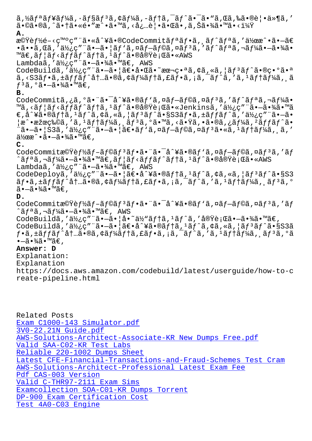$a \cdot \otimes a \cdot \otimes a$ ,  $a \cdot \otimes a \cdot \otimes a$ ,  $a \cdot \otimes a \cdot \otimes a$ ,  $a \cdot \otimes a \cdot \otimes a \cdot \otimes a$ **A.** 機èf½é-<発ç″¨ã•«å^¥ã•®CodeCommitãfªãf•ã, ãf^ãfªã,′作æ^•ã•—ã€  $\cdot$ ã $\cdot$ •ã, Œã, ′使ç″¨ã $\cdot$ –ã $\cdot$ |ãƒ $\cdot$ ã, ¤ãƒ–ラã, ¤ãƒ $^3$ ã, ′ãƒ $^{\wedge}$ リã, ¬ãƒ¼ã $\cdot$ –ã $\cdot$ ¾ã $\cdot$ ™ã€,ãf¦ãf<ãffãf^ãf†ã,<sup>ı</sup>ãf^㕮実行ã•«AWS Lambdaã,'使ç"¨ã•-㕾ã•™ã€, AWS CodeBuildã,'使ç""ã.-ã.|ã€.å.Œã.~ææ¬ç.ªã,¢ã,«ã,|ãf3ãf^ã.®ç.ºã.ª ã,<S3ãf•ã,±ãffãf^内ã•®ã,¢ãf¼ãf†ã,£ãf•ã,¡ã,¯ãf^ã,′ã,ªãf†ãf¼ã, ¸ã  $f^3$ ã,  $^{\circ}$ 㕗㕾ã•™ã€, **B.** CodeCommitã,¿ã,ºã•¨ã•¯å^¥ã•®ãf'ã,¤ãf-ãf©ã,¤ãf<sup>3</sup>ã,'ãf^ãfªã,¬ãf¼ã• ™ã,<ãf¦ãf<ãffãf^ãf†ã,1ãf^㕮実行ã•«Jenkinsã,′使ç″¨ã•—㕾ã•™ã  $\epsilon$ ,å^¥ã•®ãƒ†ã, $^1$ ãƒ^ã,¢ã,«ã,¦ãƒ $^3$ ãƒ^ã•§S3フã,±ãƒƒãƒ^ã,′使ç″¨ã•–ã•  $|x^{\frown}$ •果物ã,′ã, $^1$ ã $f$ tã $f^1$ á $\tilde{a}$ , ¸ã $f^3$ ã,ºã•™ã,<㕟ã,•ã•®ã,¿ã $f^1$ áã,ºã $f$ fã $f^{\frown}$ ã•  $\tilde{a}$ •–㕦S3ã,′使ç″¨ã•–㕦〕ãƒ`ã,¤ãƒ–ラã,¤ãƒ $^3$ ã•«ã, $^1$ テーã, ¸ã,′  $a\rightarrow a \rightarrow a \rightarrow a \rightarrow b \rightarrow c$ , **C.** CodeCommit機èf½ãf-ãf©ãf3ãf•㕨㕯å^¥ã•®ãf'ã,¤ãf-ãf©ã,¤ãf3ã,'ãf  $\hat{a}$ ã $f$ ªã,¬ã $f$ ¼ã• $\hat{a}$ , $\hat{a}$ 4 $\hat{a}$ • $\hat{a}$ ã $\in$ , ã $f$ |ã $f$ <ã $f$ fã $f$  $\hat{a}$  $f$ †ã,  $\hat{a}$  $f$  $\hat{a}$  $\hat{a}$ e $\hat{a}$ e $\hat{a}$ e $\hat{b}$ z $\hat{c}$ i $\hat{c}$ a $\hat{a}$ e $\hat{c}$ a $\hat{c}$ Lambdaã,'使ç"¨ã•-㕾ã•™ã€, AWS CodeDeploya,'a½¿ç" "a·-a·|a∈·a^¥a·®afta,'af^a,¢a,«a,|af3af^a·§s3  $\tilde{a}f$ •ã,±ã $ff$ ã $f$ ^å $\dagger$ …ã•®ã,¢ã $f$ ¼ã $f$ †ã,£ã $f$ •ã,¡ã,¯ã $f$ ^ã,′ã, $1$ ã $f$ †ã $f$ ¼ã, ¸ã $f$ 3ã,º  $a - a \cdot \frac{3}{4}$ . **D.** CodeCommit機èf½ãf-ãf©ãf3ãf•㕨㕯å^¥ã•®ãf'ã,¤ãf-ãf©ã,¤ãf3ã,'ãf  $\hat{a}f^{\mathsf{a}}\tilde{a}$ ,  $\neg \tilde{a}f^{\mathsf{a}}\tilde{a} \cdot \neg \tilde{a} \cdot \tilde{a} \cdot \tilde{a} \cdot \mathsf{m} \tilde{a} \in$ , AWS CodeBuildã,'使ç""ã•-ã•|å•~ä½"ãftã,'ãf^ã,'実行ã•-㕾ã•™ã€, CodeBuildã,'使ç" "ã•-ã• |ã $\epsilon$ •å^¥ã•®ãftã,<sup>1</sup>ãf^ã,¢ã,«ã, |ãf<sup>3</sup>ãf^ã•§S3ã  $f \cdot \tilde{a}$ ,  $\pm \tilde{a} f f \tilde{a} f \cdot \tilde{a} \pm \tilde{a} \cdot \tilde{a}$ ,  $\phi \tilde{a}$ ,  $f \times \tilde{a} f \cdot \tilde{a}$ ,  $\tilde{a}$ ,  $\tilde{a}$ ,  $\tilde{a} f \cdot \tilde{a}$ ,  $f \times \tilde{a} f \cdot \tilde{a}$ ,  $\tilde{a} f \cdot \tilde{a} f \cdot \tilde{a}$ ,  $\tilde{a} f \cdot \tilde{a} f \cdot \tilde{a} f \cdot \tilde{a}$ ,  $\til$  $\bullet$ —ã $\bullet$ ¾ã $\bullet$  ™ã $\in$  , **Answer: D** Explanation: Explanation https://docs.aws.amazon.com/codebuild/latest/userguide/how-to-c reate-pipeline.html

Related Posts Exam C1000-143 Simulator.pdf 3V0-22.21N Guide.pdf AWS-Solutions-Architect-Associate-KR New Dumps Free.pdf Valid SAA-C02-KR Test Labs [Reliable 220-1002 Dumps Shee](http://sfjbs.com/?new=C1000-143_Exam--Simulator.pdf-404050)t [Latest CFE-Financial-Transactions-and-Fraud-Schemes Tes](http://sfjbs.com/?new=AWS-Solutions-Architect-Associate-KR_New-Dumps-Free.pdf-738384)t Cram [AWS-Solutions-Architect-Pro](http://sfjbs.com/?new=SAA-C02-KR_Valid--Test-Labs-848405)fessional Latest Exam Fee Pdf CAS-003 Version [Valid C-THR97-2111 Exam Sims](http://sfjbs.com/?new=220-1002_Reliable--Dumps-Sheet-515161) [Examcollection SOA-C01-KR Dumps Torrent](http://sfjbs.com/?new=CFE-Financial-Transactions-and-Fraud-Schemes_Latest--Test-Cram-838404) DP-900 Exam Certification Cost [Test 4A0-C03 Engine](http://sfjbs.com/?new=C-THR97-2111_Valid--Exam-Sims-505161)